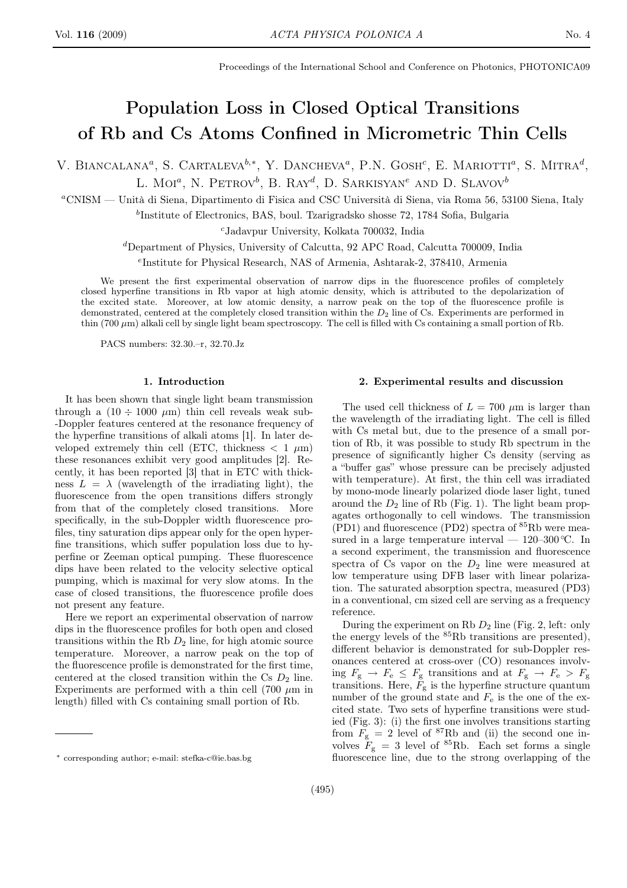Proceedings of the International School and Conference on Photonics, PHOTONICA09

# Population Loss in Closed Optical Transitions of Rb and Cs Atoms Confined in Micrometric Thin Cells

V. BIANCALANA<sup>a</sup>, S. CARTALEVA<sup>b,\*</sup>, Y. DANCHEVA<sup>a</sup>, P.N. GOSH<sup>c</sup>, E. MARIOTTI<sup>a</sup>, S. MITRA<sup>d</sup>, L. Moi<sup>a</sup>, N. Petrov<sup>b</sup>, B. Ray<sup>d</sup>, D. Sarkisyan<sup>e</sup> and D. Slavov<sup>b</sup>

<sup>a</sup>CNISM — Unità di Siena, Dipartimento di Fisica and CSC Università di Siena, via Roma 56, 53100 Siena, Italy

b Institute of Electronics, BAS, boul. Tzarigradsko shosse 72, 1784 Sofia, Bulgaria

<sup>c</sup>Jadavpur University, Kolkata 700032, India

 ${}^{d}$ Department of Physics, University of Calcutta, 92 APC Road, Calcutta 700009, India

e Institute for Physical Research, NAS of Armenia, Ashtarak-2, 378410, Armenia

We present the first experimental observation of narrow dips in the fluorescence profiles of completely closed hyperfine transitions in Rb vapor at high atomic density, which is attributed to the depolarization of the excited state. Moreover, at low atomic density, a narrow peak on the top of the fluorescence profile is demonstrated, centered at the completely closed transition within the  $D_2$  line of Cs. Experiments are performed in thin (700  $\mu$ m) alkali cell by single light beam spectroscopy. The cell is filled with Cs containing a small portion of Rb.

PACS numbers: 32.30.–r, 32.70.Jz

#### 1. Introduction

It has been shown that single light beam transmission through a  $(10 \div 1000 \mu m)$  thin cell reveals weak sub--Doppler features centered at the resonance frequency of the hyperfine transitions of alkali atoms [1]. In later developed extremely thin cell (ETC, thickness  $\langle 1 \mu m \rangle$ ) these resonances exhibit very good amplitudes [2]. Recently, it has been reported [3] that in ETC with thickness  $L = \lambda$  (wavelength of the irradiating light), the fluorescence from the open transitions differs strongly from that of the completely closed transitions. More specifically, in the sub-Doppler width fluorescence profiles, tiny saturation dips appear only for the open hyperfine transitions, which suffer population loss due to hyperfine or Zeeman optical pumping. These fluorescence dips have been related to the velocity selective optical pumping, which is maximal for very slow atoms. In the case of closed transitions, the fluorescence profile does not present any feature.

Here we report an experimental observation of narrow dips in the fluorescence profiles for both open and closed transitions within the Rb  $D_2$  line, for high atomic source temperature. Moreover, a narrow peak on the top of the fluorescence profile is demonstrated for the first time, centered at the closed transition within the Cs  $D_2$  line. Experiments are performed with a thin cell (700  $\mu$ m in length) filled with Cs containing small portion of Rb.

#### 2. Experimental results and discussion

The used cell thickness of  $L = 700 \ \mu m$  is larger than the wavelength of the irradiating light. The cell is filled with Cs metal but, due to the presence of a small portion of Rb, it was possible to study Rb spectrum in the presence of significantly higher Cs density (serving as a "buffer gas" whose pressure can be precisely adjusted with temperature). At first, the thin cell was irradiated by mono-mode linearly polarized diode laser light, tuned around the  $D_2$  line of Rb (Fig. 1). The light beam propagates orthogonally to cell windows. The transmission  $(PD1)$  and fluorescence  $(PD2)$  spectra of  $85Rb$  were measured in a large temperature interval —  $120-300$  °C. In a second experiment, the transmission and fluorescence spectra of Cs vapor on the  $D_2$  line were measured at low temperature using DFB laser with linear polarization. The saturated absorption spectra, measured (PD3) in a conventional, cm sized cell are serving as a frequency reference.

During the experiment on Rb  $D_2$  line (Fig. 2, left: only the energy levels of the  ${}^{85}$ Rb transitions are presented), different behavior is demonstrated for sub-Doppler resonances centered at cross-over (CO) resonances involving  $F_{\rm g} \rightarrow F_{\rm e} \leq F_{\rm g}$  transitions and at  $F_{\rm g} \rightarrow F_{\rm e} > F_{\rm g}$ transitions. Here,  $F_{\rm g}$  is the hyperfine structure quantum number of the ground state and  $F_e$  is the one of the excited state. Two sets of hyperfine transitions were studied (Fig. 3): (i) the first one involves transitions starting from  $F_g = 2$  level of <sup>87</sup>Rb and (ii) the second one involves  $F_g = 3$  level of <sup>85</sup>Rb. Each set forms a single fluorescence line, due to the strong overlapping of the

<sup>∗</sup> corresponding author; e-mail: stefka-c@ie.bas.bg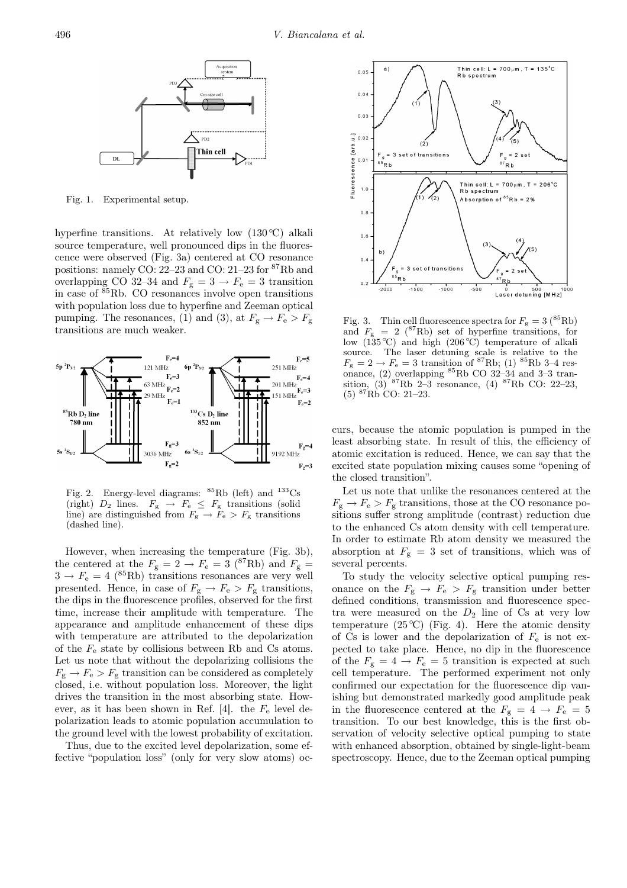

Fig. 1. Experimental setup.

hyperfine transitions. At relatively low  $(130 \degree C)$  alkali source temperature, well pronounced dips in the fluorescence were observed (Fig. 3a) centered at CO resonance positions: namely CO: 22–23 and CO: 21–23 for <sup>87</sup>Rb and overlapping CO 32–34 and  $F_{\rm g} = 3 \rightarrow F_{\rm e} = 3$  transition in case of  $85Rb$ . CO resonances involve open transitions with population loss due to hyperfine and Zeeman optical pumping. The resonances, (1) and (3), at  $F_g \to F_e > F_g$ transitions are much weaker.



Fig. 2. Energy-level diagrams:  ${}^{85}$ Rb (left) and  ${}^{133}$ Cs (right)  $D_2$  lines.  $F_g \rightarrow F_e \leq F_g$  transitions (solid line) are distinguished from  $F_{\rm g} \rightarrow F_{\rm e} > F_{\rm g}$  transitions (dashed line).

However, when increasing the temperature (Fig. 3b), the centered at the  $F_{\rm g} = 2 \rightarrow F_{\rm e} = 3$  (<sup>87</sup>Rb) and  $F_{\rm g} =$  $3 \rightarrow F_e = 4$  (<sup>85</sup>Rb) transitions resonances are very well presented. Hence, in case of  $F_g \to F_e > F_g$  transitions, the dips in the fluorescence profiles, observed for the first time, increase their amplitude with temperature. The appearance and amplitude enhancement of these dips with temperature are attributed to the depolarization of the  $F_e$  state by collisions between Rb and Cs atoms. Let us note that without the depolarizing collisions the  $F_g \rightarrow F_e > F_g$  transition can be considered as completely closed, i.e. without population loss. Moreover, the light drives the transition in the most absorbing state. However, as it has been shown in Ref. [4]. the  $F_e$  level depolarization leads to atomic population accumulation to the ground level with the lowest probability of excitation.

Thus, due to the excited level depolarization, some effective "population loss" (only for very slow atoms) oc-



Fig. 3. Thin cell fluorescence spectra for  $F_{\rm g} = 3 \, (^{85} \text{Rb})$ and  $F_{\rm g}$  = 2 (<sup>87</sup>Rb) set of hyperfine transitions, for low  $(135 \degree C)$  and high  $(206 \degree C)$  temperature of alkali source. The laser detuning scale is relative to the  $F_{\rm g} = 2 \rightarrow F_{\rm e} = 3$  transition of <sup>87</sup>Rb; (1) <sup>85</sup>Rb 3–4 resonance, (2) overlapping  ${}^{85}$ Rb CO 32–34 and 3–3 transition,  $(3)^{87}$ Rb 2–3 resonance,  $(4)^{87}$ Rb CO: 22–23, (5) <sup>87</sup>Rb CO: 21–23.

curs, because the atomic population is pumped in the least absorbing state. In result of this, the efficiency of atomic excitation is reduced. Hence, we can say that the excited state population mixing causes some "opening of the closed transition".

Let us note that unlike the resonances centered at the  $F_g \to F_e > F_g$  transitions, those at the CO resonance positions suffer strong amplitude (contrast) reduction due to the enhanced Cs atom density with cell temperature. In order to estimate Rb atom density we measured the absorption at  $F<sub>g</sub> = 3$  set of transitions, which was of several percents.

To study the velocity selective optical pumping resonance on the  $F_g \rightarrow F_e > F_g$  transition under better defined conditions, transmission and fluorescence spectra were measured on the  $D_2$  line of Cs at very low temperature  $(25 °C)$  (Fig. 4). Here the atomic density of Cs is lower and the depolarization of  $F_e$  is not expected to take place. Hence, no dip in the fluorescence of the  $F_g = 4 \rightarrow F_e = 5$  transition is expected at such cell temperature. The performed experiment not only confirmed our expectation for the fluorescence dip vanishing but demonstrated markedly good amplitude peak in the fluorescence centered at the  $F<sub>g</sub> = 4 \rightarrow F<sub>e</sub> = 5$ transition. To our best knowledge, this is the first observation of velocity selective optical pumping to state with enhanced absorption, obtained by single-light-beam spectroscopy. Hence, due to the Zeeman optical pumping